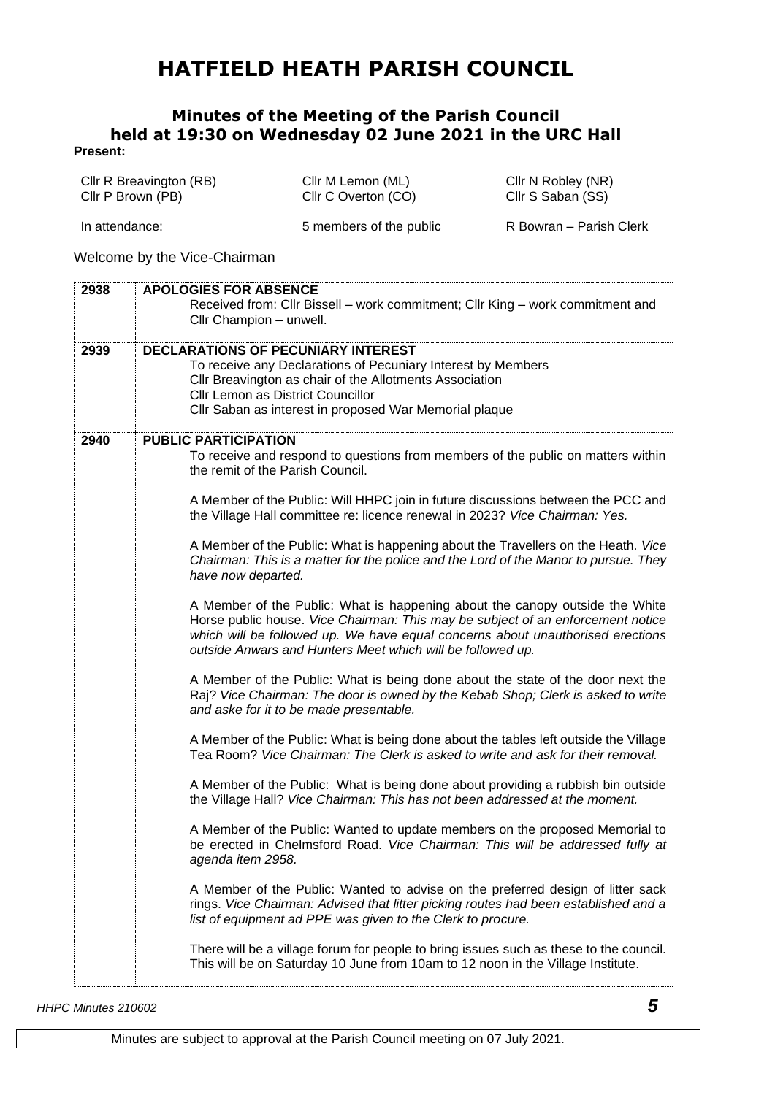## **HATFIELD HEATH PARISH COUNCIL**

## **Minutes of the Meeting of the Parish Council held at 19:30 on Wednesday 02 June 2021 in the URC Hall**

## **Present:**

| Cllr R Breavington (RB)<br>Cllr P Brown (PB) |                                                                                                                                           | Cllr M Lemon (ML)<br>Cllr C Overton (CO) | Cllr N Robley (NR)<br>Cllr S Saban (SS) |
|----------------------------------------------|-------------------------------------------------------------------------------------------------------------------------------------------|------------------------------------------|-----------------------------------------|
| In attendance:                               |                                                                                                                                           | 5 members of the public                  | R Bowran - Parish Clerk                 |
|                                              | Welcome by the Vice-Chairman                                                                                                              |                                          |                                         |
| 2938                                         | <b>APOLOGIES FOR ABSENCE</b><br>Received from: Cllr Bissell – work commitment; Cllr King – work commitment and<br>Cllr Champion - unwell. |                                          |                                         |

| 2939<br><b>DECLARATIONS OF PECUNIARY INTEREST</b><br>To receive any Declarations of Pecuniary Interest by Members<br>Cllr Breavington as chair of the Allotments Association<br>Cllr Lemon as District Councillor<br>Cllr Saban as interest in proposed War Memorial plaque<br><b>PUBLIC PARTICIPATION</b><br>2940<br>the remit of the Parish Council.<br>the Village Hall committee re: licence renewal in 2023? Vice Chairman: Yes.<br>have now departed.<br>outside Anwars and Hunters Meet which will be followed up.<br>and aske for it to be made presentable.<br>the Village Hall? Vice Chairman: This has not been addressed at the moment.<br>agenda item 2958.<br>list of equipment ad PPE was given to the Clerk to procure.<br>This will be on Saturday 10 June from 10am to 12 noon in the Village Institute. |                                                                                                                                                                                                                                                                                                                                                                                                                                                                                                                                                                                                                                                                                                                                                                                                                                                                                                                                                                                                                                                                                                                                                                                                                                                                                                                                                                                        |
|----------------------------------------------------------------------------------------------------------------------------------------------------------------------------------------------------------------------------------------------------------------------------------------------------------------------------------------------------------------------------------------------------------------------------------------------------------------------------------------------------------------------------------------------------------------------------------------------------------------------------------------------------------------------------------------------------------------------------------------------------------------------------------------------------------------------------|----------------------------------------------------------------------------------------------------------------------------------------------------------------------------------------------------------------------------------------------------------------------------------------------------------------------------------------------------------------------------------------------------------------------------------------------------------------------------------------------------------------------------------------------------------------------------------------------------------------------------------------------------------------------------------------------------------------------------------------------------------------------------------------------------------------------------------------------------------------------------------------------------------------------------------------------------------------------------------------------------------------------------------------------------------------------------------------------------------------------------------------------------------------------------------------------------------------------------------------------------------------------------------------------------------------------------------------------------------------------------------------|
|                                                                                                                                                                                                                                                                                                                                                                                                                                                                                                                                                                                                                                                                                                                                                                                                                            |                                                                                                                                                                                                                                                                                                                                                                                                                                                                                                                                                                                                                                                                                                                                                                                                                                                                                                                                                                                                                                                                                                                                                                                                                                                                                                                                                                                        |
|                                                                                                                                                                                                                                                                                                                                                                                                                                                                                                                                                                                                                                                                                                                                                                                                                            | To receive and respond to questions from members of the public on matters within<br>A Member of the Public: Will HHPC join in future discussions between the PCC and<br>A Member of the Public: What is happening about the Travellers on the Heath. Vice<br>Chairman: This is a matter for the police and the Lord of the Manor to pursue. They<br>A Member of the Public: What is happening about the canopy outside the White<br>Horse public house. Vice Chairman: This may be subject of an enforcement notice<br>which will be followed up. We have equal concerns about unauthorised erections<br>A Member of the Public: What is being done about the state of the door next the<br>Raj? Vice Chairman: The door is owned by the Kebab Shop; Clerk is asked to write<br>A Member of the Public: What is being done about the tables left outside the Village<br>Tea Room? Vice Chairman: The Clerk is asked to write and ask for their removal.<br>A Member of the Public: What is being done about providing a rubbish bin outside<br>A Member of the Public: Wanted to update members on the proposed Memorial to<br>be erected in Chelmsford Road. Vice Chairman: This will be addressed fully at<br>A Member of the Public: Wanted to advise on the preferred design of litter sack<br>rings. Vice Chairman: Advised that litter picking routes had been established and a |
|                                                                                                                                                                                                                                                                                                                                                                                                                                                                                                                                                                                                                                                                                                                                                                                                                            | There will be a village forum for people to bring issues such as these to the council.                                                                                                                                                                                                                                                                                                                                                                                                                                                                                                                                                                                                                                                                                                                                                                                                                                                                                                                                                                                                                                                                                                                                                                                                                                                                                                 |

*HHPC Minutes 210602 5*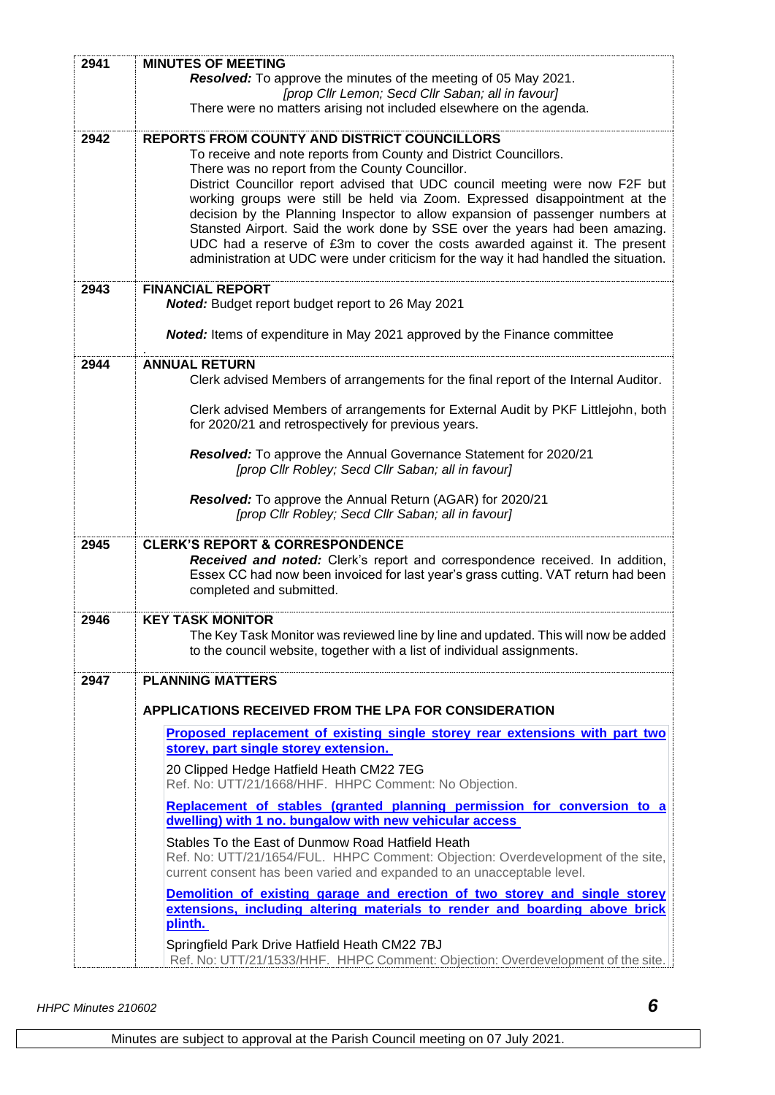| 2941 | <b>MINUTES OF MEETING</b>                                                                                                                                         |  |  |
|------|-------------------------------------------------------------------------------------------------------------------------------------------------------------------|--|--|
|      | Resolved: To approve the minutes of the meeting of 05 May 2021.<br>[prop Cllr Lemon; Secd Cllr Saban; all in favour]                                              |  |  |
|      | There were no matters arising not included elsewhere on the agenda.                                                                                               |  |  |
| 2942 | REPORTS FROM COUNTY AND DISTRICT COUNCILLORS                                                                                                                      |  |  |
|      | To receive and note reports from County and District Councillors.<br>There was no report from the County Councillor.                                              |  |  |
|      | District Councillor report advised that UDC council meeting were now F2F but                                                                                      |  |  |
|      | working groups were still be held via Zoom. Expressed disappointment at the<br>decision by the Planning Inspector to allow expansion of passenger numbers at      |  |  |
|      | Stansted Airport. Said the work done by SSE over the years had been amazing.<br>UDC had a reserve of £3m to cover the costs awarded against it. The present       |  |  |
|      | administration at UDC were under criticism for the way it had handled the situation.                                                                              |  |  |
| 2943 | <b>FINANCIAL REPORT</b>                                                                                                                                           |  |  |
|      | Noted: Budget report budget report to 26 May 2021                                                                                                                 |  |  |
|      | <b>Noted:</b> Items of expenditure in May 2021 approved by the Finance committee                                                                                  |  |  |
| 2944 | <b>ANNUAL RETURN</b><br>Clerk advised Members of arrangements for the final report of the Internal Auditor.                                                       |  |  |
|      | Clerk advised Members of arrangements for External Audit by PKF Littlejohn, both                                                                                  |  |  |
|      | for 2020/21 and retrospectively for previous years.                                                                                                               |  |  |
|      | Resolved: To approve the Annual Governance Statement for 2020/21<br>[prop Cllr Robley; Secd Cllr Saban; all in favour]                                            |  |  |
|      | Resolved: To approve the Annual Return (AGAR) for 2020/21                                                                                                         |  |  |
|      | [prop Cllr Robley; Secd Cllr Saban; all in favour]                                                                                                                |  |  |
| 2945 | <b>CLERK'S REPORT &amp; CORRESPONDENCE</b>                                                                                                                        |  |  |
|      | Received and noted: Clerk's report and correspondence received. In addition,<br>Essex CC had now been invoiced for last year's grass cutting. VAT return had been |  |  |
|      | completed and submitted.                                                                                                                                          |  |  |
| 2946 | <b>KEY TASK MONITOR</b>                                                                                                                                           |  |  |
|      | The Key Task Monitor was reviewed line by line and updated. This will now be added<br>to the council website, together with a list of individual assignments.     |  |  |
| 2947 | <b>PLANNING MATTERS</b>                                                                                                                                           |  |  |
|      | <b>APPLICATIONS RECEIVED FROM THE LPA FOR CONSIDERATION</b>                                                                                                       |  |  |
|      | <b>Proposed replacement of existing single storey rear extensions with part two</b>                                                                               |  |  |
|      | storey, part single storey extension.                                                                                                                             |  |  |
|      | 20 Clipped Hedge Hatfield Heath CM22 7EG<br>Ref. No: UTT/21/1668/HHF. HHPC Comment: No Objection.                                                                 |  |  |
|      | Replacement of stables (granted planning permission for conversion to a<br>dwelling) with 1 no. bungalow with new vehicular access                                |  |  |
|      | Stables To the East of Dunmow Road Hatfield Heath                                                                                                                 |  |  |
|      | Ref. No: UTT/21/1654/FUL. HHPC Comment: Objection: Overdevelopment of the site,<br>current consent has been varied and expanded to an unacceptable level.         |  |  |
|      | Demolition of existing garage and erection of two storey and single storey                                                                                        |  |  |
|      | extensions, including altering materials to render and boarding above brick<br>plinth.                                                                            |  |  |
|      | Springfield Park Drive Hatfield Heath CM22 7BJ<br>Ref. No: UTT/21/1533/HHF. HHPC Comment: Objection: Overdevelopment of the site.                                 |  |  |

*HHPC Minutes 210602 6*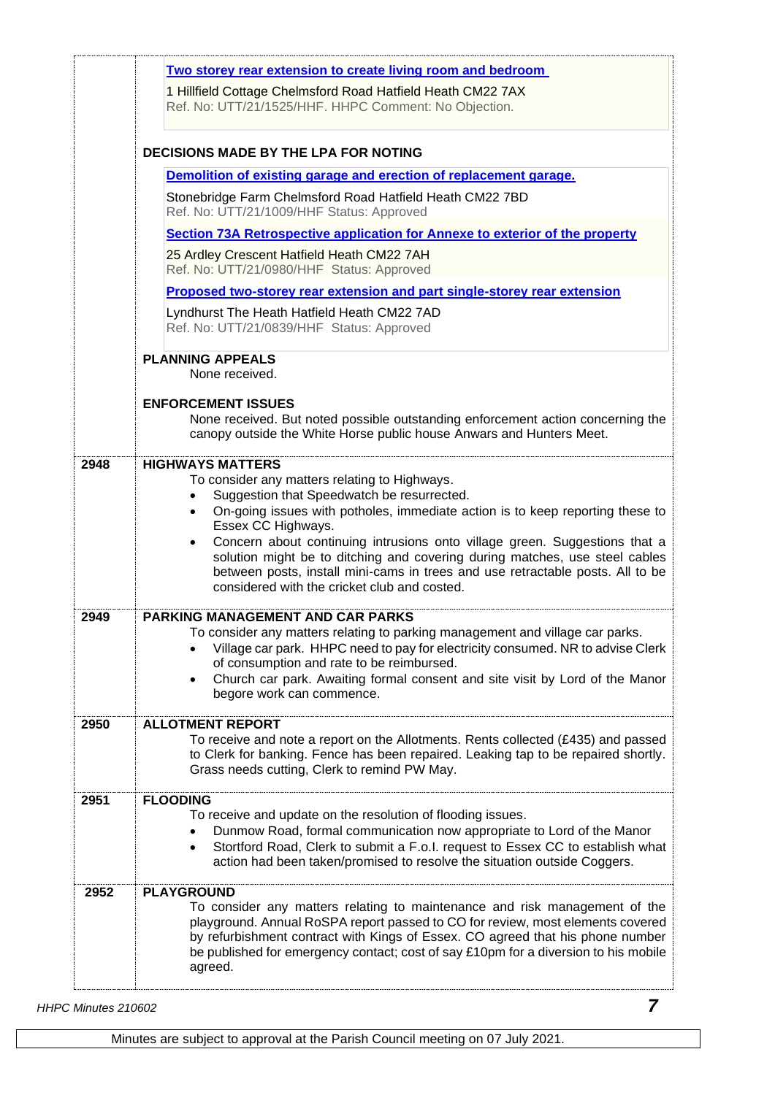|      | Two storey rear extension to create living room and bedroom<br>1 Hillfield Cottage Chelmsford Road Hatfield Heath CM22 7AX<br>Ref. No: UTT/21/1525/HHF. HHPC Comment: No Objection.<br><b>DECISIONS MADE BY THE LPA FOR NOTING</b>                                                                                                                                                                                                                                                                                                        |  |  |
|------|-------------------------------------------------------------------------------------------------------------------------------------------------------------------------------------------------------------------------------------------------------------------------------------------------------------------------------------------------------------------------------------------------------------------------------------------------------------------------------------------------------------------------------------------|--|--|
|      |                                                                                                                                                                                                                                                                                                                                                                                                                                                                                                                                           |  |  |
|      | Demolition of existing garage and erection of replacement garage.                                                                                                                                                                                                                                                                                                                                                                                                                                                                         |  |  |
|      | Stonebridge Farm Chelmsford Road Hatfield Heath CM22 7BD<br>Ref. No: UTT/21/1009/HHF Status: Approved                                                                                                                                                                                                                                                                                                                                                                                                                                     |  |  |
|      | Section 73A Retrospective application for Annexe to exterior of the property                                                                                                                                                                                                                                                                                                                                                                                                                                                              |  |  |
|      | 25 Ardley Crescent Hatfield Heath CM22 7AH<br>Ref. No: UTT/21/0980/HHF Status: Approved                                                                                                                                                                                                                                                                                                                                                                                                                                                   |  |  |
|      | <b>Proposed two-storey rear extension and part single-storey rear extension</b>                                                                                                                                                                                                                                                                                                                                                                                                                                                           |  |  |
|      | Lyndhurst The Heath Hatfield Heath CM22 7AD<br>Ref. No: UTT/21/0839/HHF Status: Approved                                                                                                                                                                                                                                                                                                                                                                                                                                                  |  |  |
|      | <b>PLANNING APPEALS</b><br>None received.                                                                                                                                                                                                                                                                                                                                                                                                                                                                                                 |  |  |
|      | <b>ENFORCEMENT ISSUES</b><br>None received. But noted possible outstanding enforcement action concerning the<br>canopy outside the White Horse public house Anwars and Hunters Meet.                                                                                                                                                                                                                                                                                                                                                      |  |  |
| 2948 | <b>HIGHWAYS MATTERS</b><br>To consider any matters relating to Highways.<br>Suggestion that Speedwatch be resurrected.<br>On-going issues with potholes, immediate action is to keep reporting these to<br>$\bullet$<br>Essex CC Highways.<br>Concern about continuing intrusions onto village green. Suggestions that a<br>solution might be to ditching and covering during matches, use steel cables<br>between posts, install mini-cams in trees and use retractable posts. All to be<br>considered with the cricket club and costed. |  |  |
| 2949 | <b>PARKING MANAGEMENT AND CAR PARKS</b><br>To consider any matters relating to parking management and village car parks.<br>Village car park. HHPC need to pay for electricity consumed. NR to advise Clerk<br>of consumption and rate to be reimbursed.<br>Church car park. Awaiting formal consent and site visit by Lord of the Manor<br>$\bullet$<br>begore work can commence.                                                                                                                                                        |  |  |
| 2950 | <b>ALLOTMENT REPORT</b><br>To receive and note a report on the Allotments. Rents collected $(E435)$ and passed<br>to Clerk for banking. Fence has been repaired. Leaking tap to be repaired shortly.<br>Grass needs cutting, Clerk to remind PW May.                                                                                                                                                                                                                                                                                      |  |  |
| 2951 | <b>FLOODING</b><br>To receive and update on the resolution of flooding issues.<br>Dunmow Road, formal communication now appropriate to Lord of the Manor<br>Stortford Road, Clerk to submit a F.o.l. request to Essex CC to establish what<br>$\bullet$<br>action had been taken/promised to resolve the situation outside Coggers.                                                                                                                                                                                                       |  |  |
| 2952 | <b>PLAYGROUND</b><br>To consider any matters relating to maintenance and risk management of the<br>playground. Annual RoSPA report passed to CO for review, most elements covered<br>by refurbishment contract with Kings of Essex. CO agreed that his phone number<br>be published for emergency contact; cost of say £10pm for a diversion to his mobile<br>agreed.                                                                                                                                                                     |  |  |

*HHPC Minutes 210602 7*

Minutes are subject to approval at the Parish Council meeting on 07 July 2021.